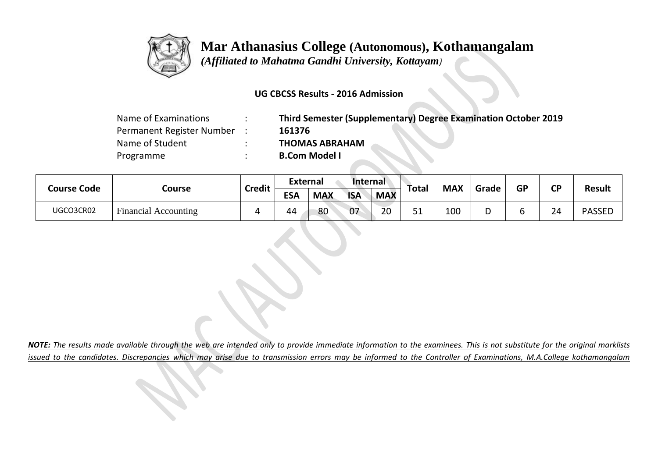

# **Mar Athanasius College (Autonomous), Kothamangalam**

 *(Affiliated to Mahatma Gandhi University, Kottayam)*

### **UG CBCSS Results - 2016 Admission**

| Name of Examinations      |
|---------------------------|
| Permanent Register Number |
| Name of Student           |
| Programme                 |

**Third Semester (Supplementary) Degree Examination October 2019** Permanent Register Number : **161376 THOMAS ABRAHAM B.Com Model I** 

| <b>Course Code</b> | Course                                      | <b>Credit</b> | <b>External</b> |            | Internal   |            |                   | <b>MAX</b> |       | <b>GP</b> | <b>CP</b> |               |
|--------------------|---------------------------------------------|---------------|-----------------|------------|------------|------------|-------------------|------------|-------|-----------|-----------|---------------|
|                    |                                             |               | <b>ESA</b>      | <b>MAX</b> | <b>ISA</b> | <b>MAX</b> | Total             |            | Grade |           |           | <b>Result</b> |
| UGCO3CR02          | $\mathbf{r}$<br><b>Financial Accounting</b> |               | 44              | 80         | 07         | 20         | - 4<br><u>J +</u> | 100        | י     |           | 24        | <b>PASSED</b> |

*NOTE: The results made available through the web are intended only to provide immediate information to the examinees. This is not substitute for the original marklists issued to the candidates. Discrepancies which may arise due to transmission errors may be informed to the Controller of Examinations, M.A.College kothamangalam*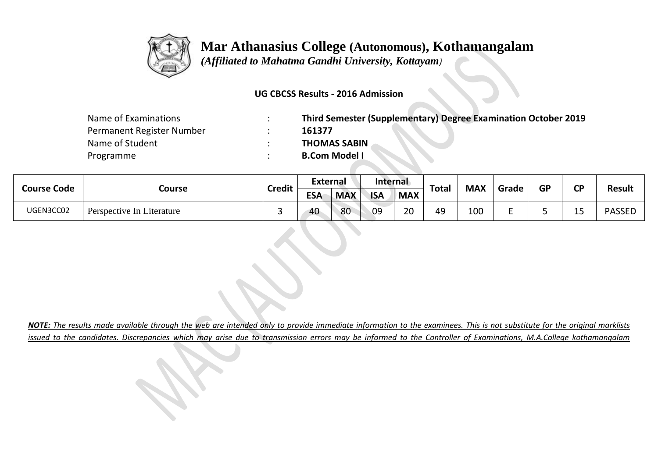

# **Mar Athanasius College (Autonomous), Kothamangalam**

 *(Affiliated to Mahatma Gandhi University, Kottayam)*

### **UG CBCSS Results - 2016 Admission**

| Name of Examinations      | Third Semester (Supplementary) Degree Examination October 2019 |
|---------------------------|----------------------------------------------------------------|
| Permanent Register Number | 161377                                                         |
| Name of Student           | <b>THOMAS SABIN</b>                                            |
| Programme                 | <b>B.Com Model I</b>                                           |

| <b>Course Code</b> | Course                    | <b>Credit</b> | External   |            | Internal   |            | <b>Total</b> | <b>MAX</b> |       | <b>GP</b> | σD                | <b>Result</b> |
|--------------------|---------------------------|---------------|------------|------------|------------|------------|--------------|------------|-------|-----------|-------------------|---------------|
|                    |                           |               | <b>ESA</b> | <b>MAX</b> | <b>ISA</b> | <b>MAX</b> |              |            | Grade |           |                   |               |
| UGEN3CC02          | Perspective In Literature |               | 40         | 80         | 09         | 20         | 49           | 100        |       |           | . .<br><b>. .</b> | <b>PASSED</b> |

*NOTE: The results made available through the web are intended only to provide immediate information to the examinees. This is not substitute for the original marklists issued to the candidates. Discrepancies which may arise due to transmission errors may be informed to the Controller of Examinations, M.A.College kothamangalam*